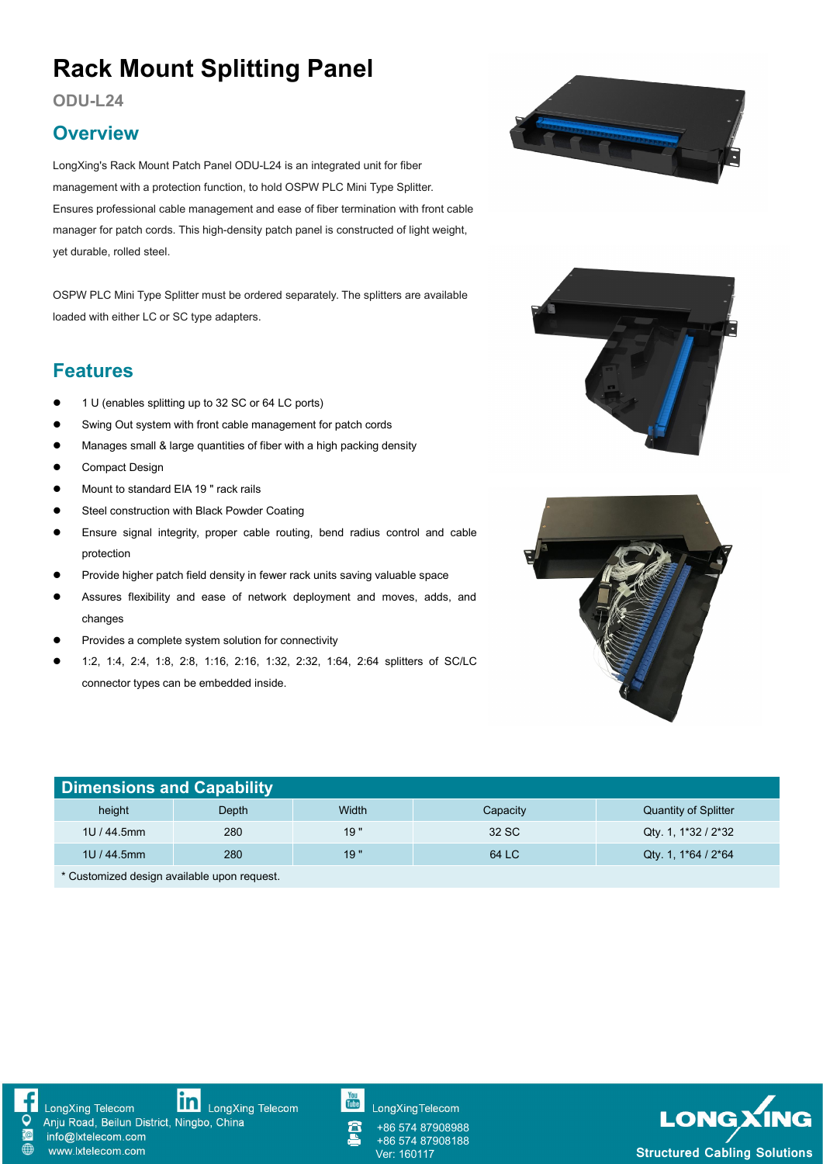# **Rack Mount Splitting Panel**

**ODU-L24**

#### **Overview**

LongXing's Rack Mount Patch Panel ODU-L24 is an integrated unit for fiber management with a protection function, to hold OSPW PLC Mini Type Splitter. Ensures professional cable management and ease of fiber termination with front cable manager for patch cords. This high-density patch panel is constructed of light weight, yet durable, rolled steel.

OSPW PLC Mini Type Splitter must be ordered separately. The splitters are available loaded with either LC or SC type adapters.

#### **Features**

- 1 U (enables splitting up to 32 SC or 64 LC ports)
- Swing Out system with front cable management for patch cords
- **Manages small & large quantities of fiber with a high packing density**
- **Compact Design**
- Mount to standard EIA 19 " rack rails
- **•** Steel construction with Black Powder Coating
- Ensure signal integrity, proper cable routing, bend radius control and cable protection
- Provide higher patch field density in fewer rack units saving valuable space
- Assures flexibility and ease of network deployment and moves, adds, and changes
- Provides a complete system solution for connectivity
- 1:2, 1:4, 2:4, 1:8, 2:8, 1:16, 2:16, 1:32, 2:32, 1:64, 2:64 splitters of SC/LC connector types can be embedded inside.







| <b>Dimensions and Capability</b>             |       |       |          |                             |  |
|----------------------------------------------|-------|-------|----------|-----------------------------|--|
| height                                       | Depth | Width | Capacity | <b>Quantity of Splitter</b> |  |
| 1U / 44.5mm                                  | 280   | 19"   | 32 SC    | Qty 1, 1*32 / 2*32          |  |
| 1U / 44.5mm                                  | 280   | 19"   | 64 LC    | Qty 1, $1*64 / 2*64$        |  |
| $*$ Customized design quailable unon request |       |       |          |                             |  |

Customized design available upon request.



**in** LongXing Telecom LongXing Telecom Anju Road, Beilun District, Ningbo, China

info@lxtelecom.com www.lxtelecom.com

You<br>Tube

**LongXingTelecom** 

+86 574 87908988 +86 574 87908188

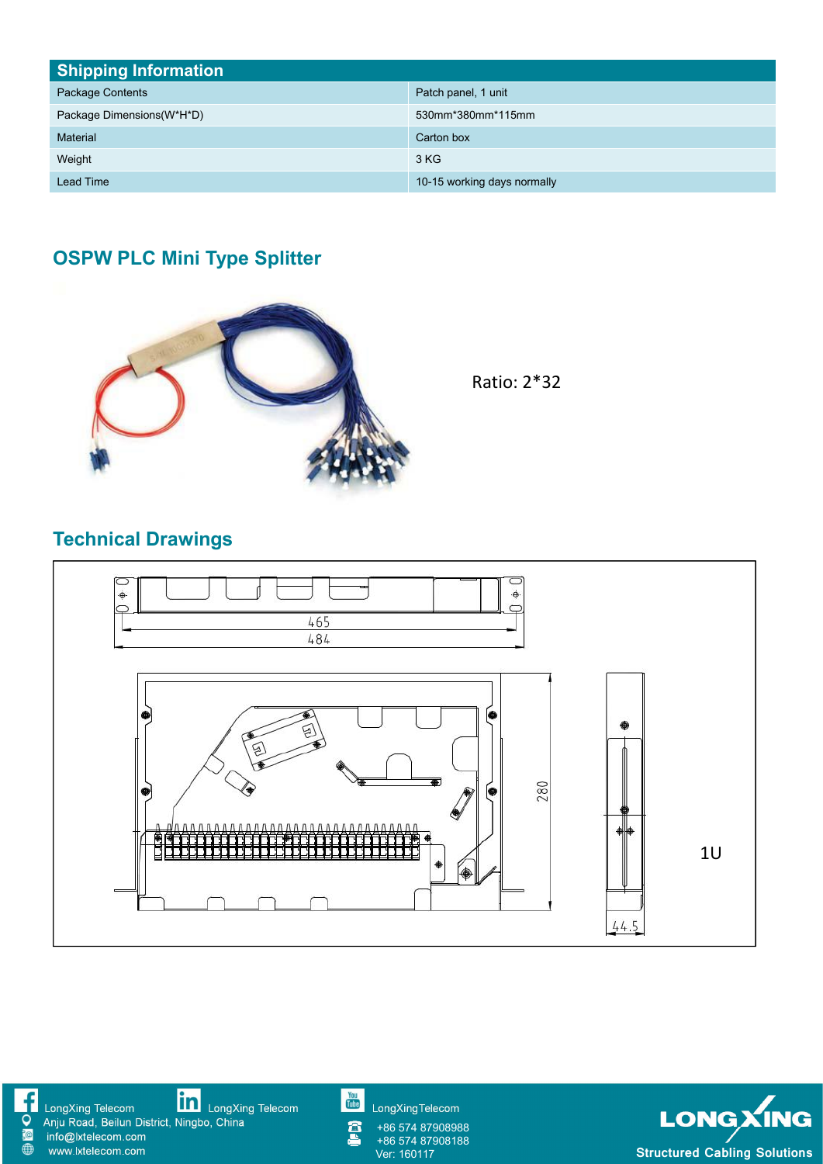| <b>Shipping Information</b> |                             |  |  |  |
|-----------------------------|-----------------------------|--|--|--|
| Package Contents            | Patch panel, 1 unit         |  |  |  |
| Package Dimensions (W*H*D)  | 530mm*380mm*115mm           |  |  |  |
| <b>Material</b>             | Carton box                  |  |  |  |
| Weight                      | 3 KG                        |  |  |  |
| <b>Lead Time</b>            | 10-15 working days normally |  |  |  |

## **OSPW PLC Mini Type Splitter**



Ratio: 2\*32

# **Technical Drawings**



**in**<br>LongXing Telecom LongXing Telecom<br>Anju Road, Beilun District, Ningbo, China<br>info@lxtelecom.com **10** www.lxtelecom.com

You<br>Tube

LongXingTelecom